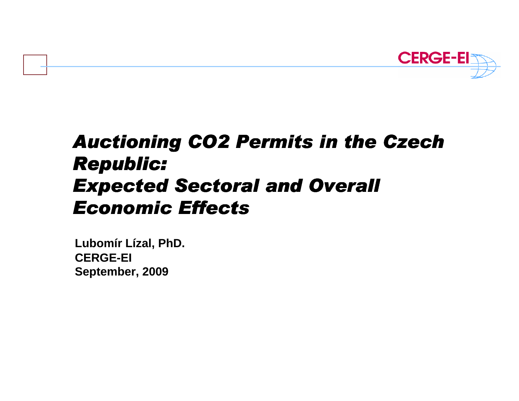

# Auctioning CO2 Permits in the Czech Republic: Expected Sectoral and Overall Economic Effects

**Lubomír Lízal, PhD.CERGE-EISeptember, 2009**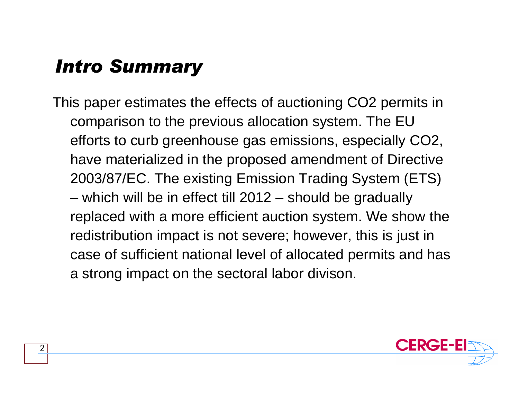### Intro Summary

This paper estimates the effects of auctioning CO2 permits in comparison to the previous allocation system. The EU efforts to curb greenhouse gas emissions, especially CO2, have materialized in the proposed amendment of Directive 2003/87/EC. The existing Emission Trading System (ETS) which will be in effect till 2012 – should be gradually replaced with a more efficient auction system. We show the redistribution impact is not severe; however, this is just in case of sufficient national level of allocated permits and has a strong impact on the sectoral labor divison.

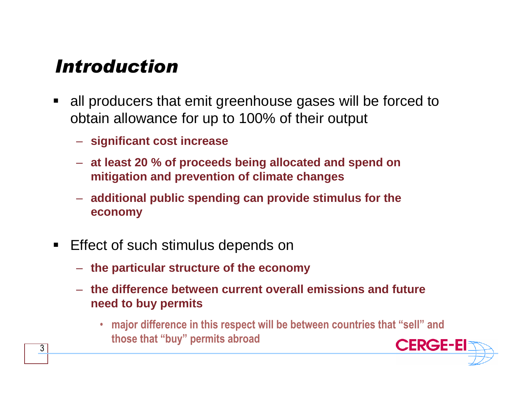#### Introduction

- all producers that emit greenhouse gases will be forced to obtain allowance for up to 100% of their output
	- **significant cost increase**
	- **at least 20 % of proceeds being allocated and spend on mitigation and prevention of climate changes**
	- **additional public spending can provide stimulus for the economy**
- $\blacksquare$  Effect of such stimulus depends on
	- **the particular structure of the economy**
	- **the difference between current overall emissions and future need to buy permits**
		- major difference in this respect will be between countries that "sell" and those that "buy" permits abroad

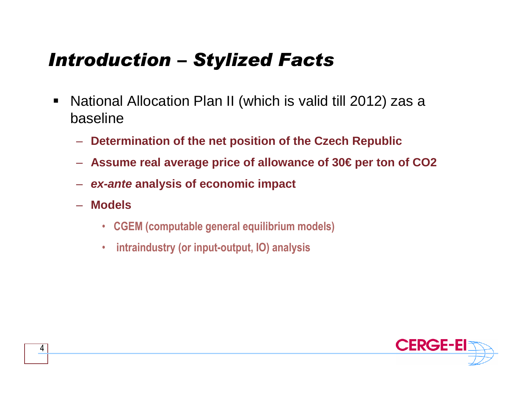# Introduction – Stylized Facts

- $\blacksquare$  National Allocation Plan II (which is valid till 2012) zas <sup>a</sup> baseline
	- **Determination of the net position of the Czech Republic**
	- **Assume real average price of allowance of 30€ per ton of CO2**
	- **ex-ante analysis of economic impact**
	- **Models** 
		- CGEM (computable general equilibrium models)
		- $\bullet$ intraindustry (or input-output, IO) analysis

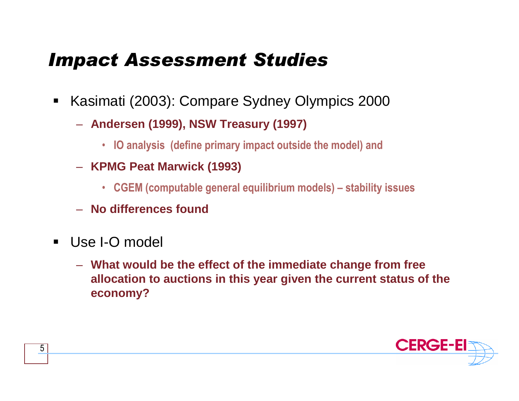# Impact Assessment Studies

- $\blacksquare$  Kasimati (2003): Compare Sydney Olympics 2000
	- **Andersen (1999), NSW Treasury (1997)** 
		- IO analysis (define primary impact outside the model) and
	- **KPMG Peat Marwick (1993)**
		- CGEM (computable general equilibrium models) stability issues
	- **No differences found**
- $\blacksquare$  Use I-O model
	- **What would be the effect of the immediate change from free allocation to auctions in this year given the current status of the economy?**

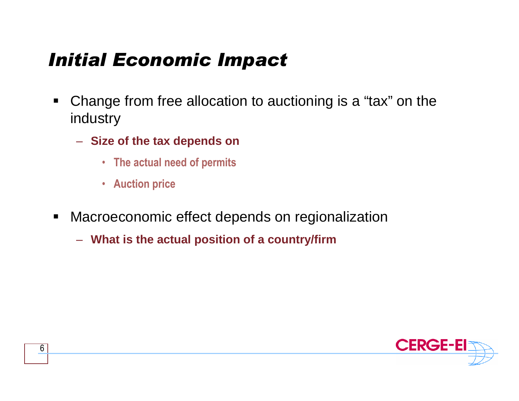# Initial Economic Impact

- $\blacksquare$  Change from free allocation to auctioning is a "tax" on the industry
	- **Size of the tax depends on** 
		- The actual need of permits
		- Auction price
- $\blacksquare$  Macroeconomic effect depends on regionalization
	- **What is the actual position of a country/firm**

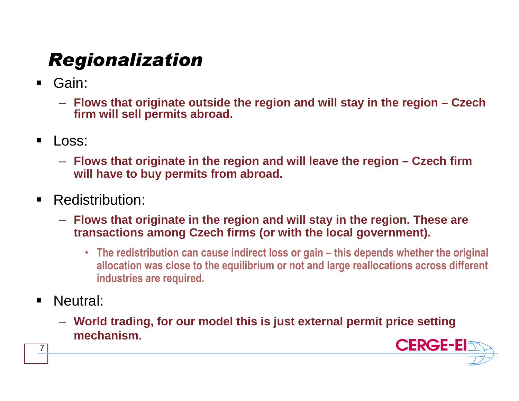# Regionalization

- Gain:
	- **Flows that originate outside the region and will stay in the region – Czech firm will sell permits abroad.**
- $\blacksquare$  Loss:
	- **Flows that originate in the region and will leave the region – Czech firm will have to buy permits from abroad.**
- $\blacksquare$  Redistribution:
	- **Flows that originate in the region and will stay in the region. These are transactions among Czech firms (or with the local government).** 
		- The redistribution can cause indirect loss or gain this depends whether the original allocation was close to the equilibrium or not and large reallocations across different industries are required.
- $\blacksquare$ Neutral:

7

– **World trading, for our model this is just external permit price setting mechanism.** 

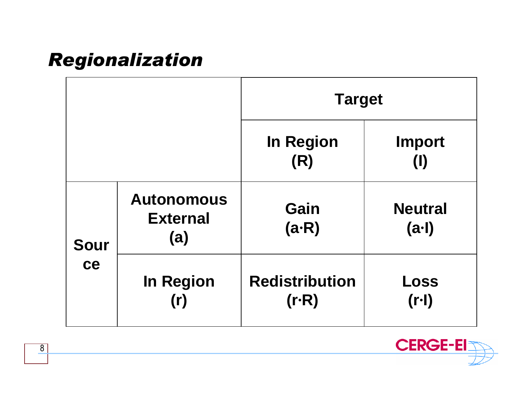# Regionalization

|                   |                                             | <b>Target</b>                    |                               |  |
|-------------------|---------------------------------------------|----------------------------------|-------------------------------|--|
|                   |                                             | <b>In Region</b><br>(R)          | <b>Import</b><br>$\mathbf{I}$ |  |
| <b>Sour</b><br>ce | <b>Autonomous</b><br><b>External</b><br>(a) | Gain<br>$(a-R)$                  | <b>Neutral</b><br>(a·l)       |  |
|                   | <b>In Region</b><br>(r)                     | <b>Redistribution</b><br>$(r-R)$ | Loss<br>$(r-1)$               |  |



8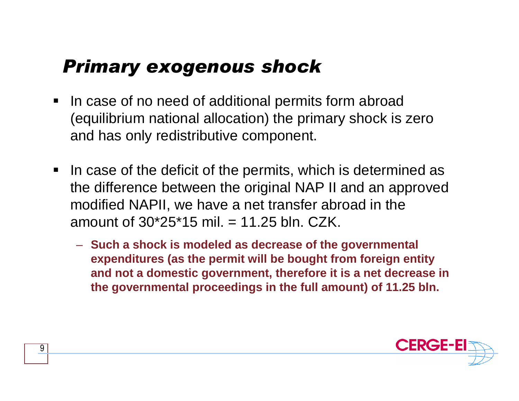### Primary exogenous shock

- $\blacksquare$  In case of no need of additional permits form abroad (equilibrium national allocation) the primary shock is zero and has only redistributive component.
- $\blacksquare$  In case of the deficit of the permits, which is determined as the difference between the original NAP II and an approved modified NAPII, we have a net transfer abroad in the amount of  $30*25*15$  mil.  $= 11.25$  bln. CZK.
	- **Such a shock is modeled as decrease of the governmental expenditures (as the permit will be bought from foreign entity and not a domestic government, therefore it is a net decrease inthe governmental proceedings in the full amount) of 11.25 bln.**

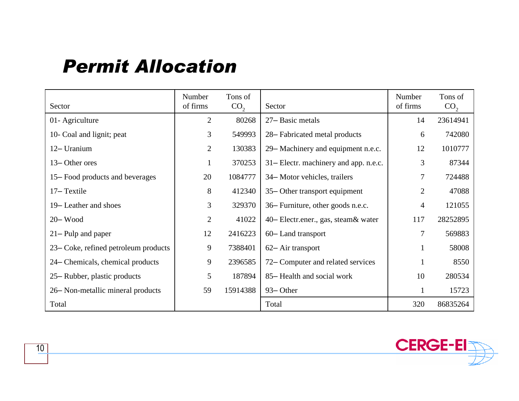#### Permit Allocation

| Sector                               | Number<br>of firms | Tons of<br>CO <sub>2</sub> | Sector                                | Number<br>of firms | Tons of<br>CO <sub>2</sub> |
|--------------------------------------|--------------------|----------------------------|---------------------------------------|--------------------|----------------------------|
| 01- Agriculture                      | $\overline{2}$     | 80268                      | 27-Basic metals                       | 14                 | 23614941                   |
| 10- Coal and lignit; peat            | 3                  | 549993                     | 28–Fabricated metal products          | 6                  | 742080                     |
| 12- Uranium                          | $\overline{2}$     | 130383                     | 29– Machinery and equipment n.e.c.    | 12                 | 1010777                    |
| 13–Other ores                        |                    | 370253                     | 31– Electr. machinery and app. n.e.c. | 3                  | 87344                      |
| 15–Food products and beverages       | 20                 | 1084777                    | 34– Motor vehicles, trailers          | 7                  | 724488                     |
| 17–Textile                           | 8                  | 412340                     | 35– Other transport equipment         | $\overline{2}$     | 47088                      |
| 19– Leather and shoes                | 3                  | 329370                     | 36– Furniture, other goods n.e.c.     | $\overline{4}$     | 121055                     |
| $20 - Wood$                          | $\overline{2}$     | 41022                      | 40– Electr.ener., gas, steam & water  | 117                | 28252895                   |
| $21 -$ Pulp and paper                | 12                 | 2416223                    | 60–Land transport                     | 7                  | 569883                     |
| 23– Coke, refined petroleum products | 9                  | 7388401                    | 62– Air transport                     |                    | 58008                      |
| 24– Chemicals, chemical products     | 9                  | 2396585                    | 72– Computer and related services     |                    | 8550                       |
| 25– Rubber, plastic products         | 5                  | 187894                     | 85– Health and social work            | 10                 | 280534                     |
| 26– Non-metallic mineral products    | 59                 | 15914388                   | 93–Other                              | 1                  | 15723                      |
| Total                                |                    |                            | Total                                 | 320                | 86835264                   |

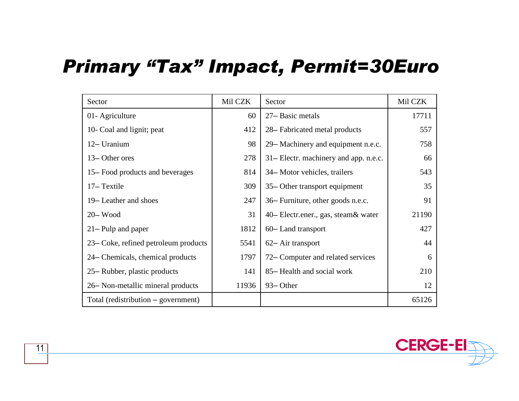#### Primary "Tax" Impact, Permit=30Euro

| Sector                               | Mil CZK | Sector                                | Mil CZK |
|--------------------------------------|---------|---------------------------------------|---------|
| 01- Agriculture                      | 60      | 27-Basic metals                       | 17711   |
| 10- Coal and lignit; peat            | 412     | 28–Fabricated metal products          | 557     |
| 12- Uranium                          | 98      | 29– Machinery and equipment n.e.c.    | 758     |
| 13–Other ores                        | 278     | 31– Electr. machinery and app. n.e.c. | 66      |
| 15–Food products and beverages       | 814     | 34– Motor vehicles, trailers          | 543     |
| 17–Textile                           | 309     | 35– Other transport equipment         | 35      |
| 19– Leather and shoes                | 247     | 36– Furniture, other goods n.e.c.     | 91      |
| $20 - Wood$                          | 31      | 40– Electr.ener., gas, steam & water  | 21190   |
| $21 -$ Pulp and paper                | 1812    | 60– Land transport                    | 427     |
| 23– Coke, refined petroleum products | 5541    | 62– Air transport                     | 44      |
| 24– Chemicals, chemical products     | 1797    | 72– Computer and related services     | 6       |
| 25– Rubber, plastic products         | 141     | 85– Health and social work            | 210     |
| 26– Non-metallic mineral products    | 11936   | 93– Other                             | 12      |
| Total (redistribution – government)  |         |                                       | 65126   |

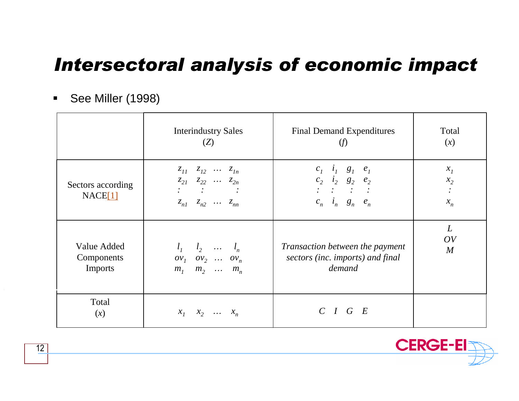# Intersectoral analysis of economic impact

 $\blacksquare$ See Miller (1998)

|                              | <b>Interindustry Sales</b>                                                                                                                                                                                   | <b>Final Demand Expenditures</b>                                                                                                                                        | Total                     |
|------------------------------|--------------------------------------------------------------------------------------------------------------------------------------------------------------------------------------------------------------|-------------------------------------------------------------------------------------------------------------------------------------------------------------------------|---------------------------|
|                              | (Z)                                                                                                                                                                                                          | (f)                                                                                                                                                                     | (x)                       |
| Sectors according<br>NACE[1] | $z_{11}$ $z_{12}$ $\cdots$ $z_{1n}$<br>$z_{21}$ $z_{22}$ $\cdots$ $z_{2n}$<br>$\mathcal{L}^{\text{max}}(\mathcal{L}^{\text{max}})$ , where $\mathcal{L}^{\text{max}}$<br>$z_{n1}$ $z_{n2}$ $\cdots$ $z_{nn}$ | $c_i$ $i_i$ $g_i$ $e_i$<br>$c_2$ $i_2$ $g_2$ $e_2$<br>$\label{eq:2} \mathcal{L}=\mathcal{L}=\mathcal{L}=\mathcal{L}=\mathcal{L}=\mathcal{L}$<br>$c_n$ $i_n$ $g_n$ $e_n$ | $x_{I}$<br>$x_2$<br>$x_n$ |
| Value Added                  | $l_1$ $l_2$ $l_n$                                                                                                                                                                                            | Transaction between the payment                                                                                                                                         | L                         |
| Components                   | $ov_1$ $ov_2$ $ov_n$                                                                                                                                                                                         | sectors (inc. imports) and final                                                                                                                                        | OV                        |
| <b>Imports</b>               | $m_1$ $m_2$ $m_n$                                                                                                                                                                                            | demand                                                                                                                                                                  | $\overline{M}$            |
| Total<br>(x)                 | $x_1$ $x_2$ $x_n$                                                                                                                                                                                            | $C$ $I$ $G$ $E$                                                                                                                                                         |                           |



12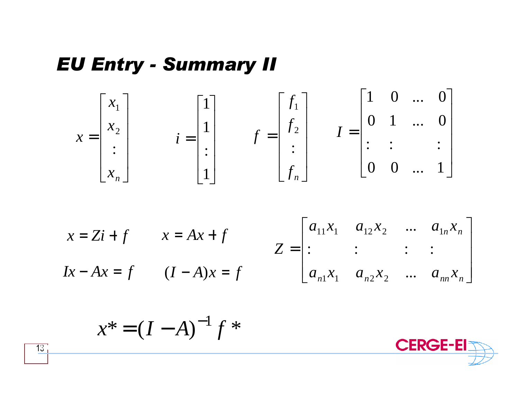#### EU Entry - Summary II



$$
x = Zi + f \t x = Ax + f \t Z = \begin{bmatrix} a_{11}x_1 & a_{12}x_2 & \dots & a_{1n}x_n \\ \vdots & \vdots & \vdots & \vdots \\ a_{n1}x_1 & a_{n2}x_2 & \dots & a_{nn}x_n \end{bmatrix}
$$

$$
x^* = (I - A)^{-1} f^*
$$



13 $31$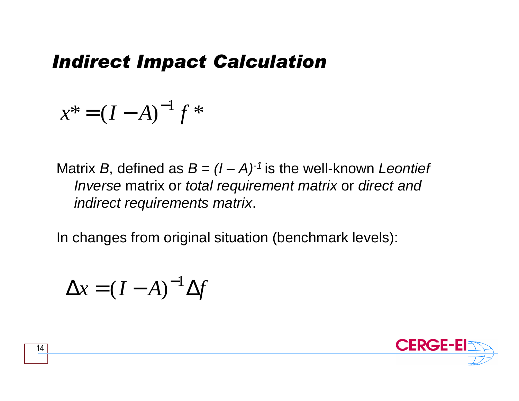#### Indirect Impact Calculation

$$
x^* = (I - A)^{-1} f^*
$$

Matrix B, defined as  $B = (I - A)^{-1}$  is the well-known Leontief Inverse matrix or total requirement matrix or direct and indirect requirements matrix.

In changes from original situation (benchmark levels):

$$
\Delta x = (I - A)^{-1} \Delta f
$$

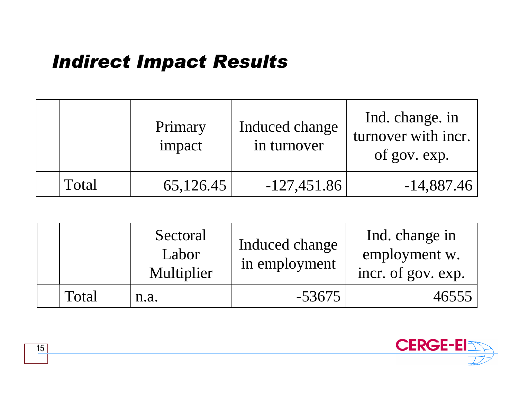# Indirect Impact Results

|       | Primary<br>impact | Induced change<br>in turnover | Ind. change. in<br>turnover with incr.<br>of gov. exp. |
|-------|-------------------|-------------------------------|--------------------------------------------------------|
| Total | 65,126.45         | $-127,451.86$                 | $-14,887.46$                                           |

|       | Sectoral<br>Labor<br>Multiplier | Induced change<br>in employment | Ind. change in<br>employment w.<br>incr. of gov. exp. |
|-------|---------------------------------|---------------------------------|-------------------------------------------------------|
| Total | n.a.                            | $-53675$                        | 46555                                                 |

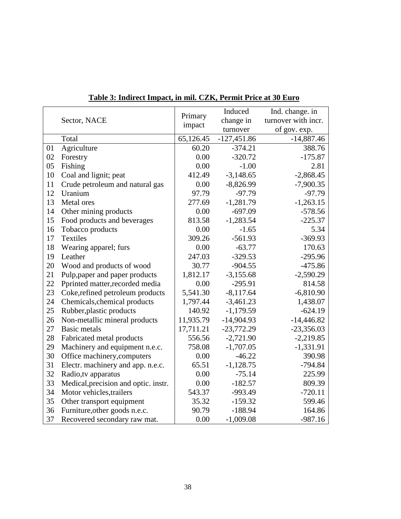| Sector, NACE |                                      | Primary   | Induced       | Ind. change. in     |
|--------------|--------------------------------------|-----------|---------------|---------------------|
|              |                                      | impact    | change in     | turnover with incr. |
|              |                                      |           | turnover      | of gov. exp.        |
|              | Total                                | 65,126.45 | $-127,451.86$ | $-14,887.46$        |
| 01           | Agriculture                          | 60.20     | $-374.21$     | 388.76              |
| 02           | Forestry                             | 0.00      | $-320.72$     | $-175.87$           |
| 05           | Fishing                              | 0.00      | $-1.00$       | 2.81                |
| 10           | Coal and lignit; peat                | 412.49    | $-3,148.65$   | $-2,868.45$         |
| 11           | Crude petroleum and natural gas      | 0.00      | $-8,826.99$   | $-7,900.35$         |
| 12           | Uranium                              | 97.79     | $-97.79$      | $-97.79$            |
| 13           | Metal ores                           | 277.69    | $-1,281.79$   | $-1,263.15$         |
| 14           | Other mining products                | 0.00      | $-697.09$     | $-578.56$           |
| 15           | Food products and beverages          | 813.58    | $-1,283.54$   | $-225.37$           |
| 16           | Tobacco products                     | 0.00      | $-1.65$       | 5.34                |
| 17           | <b>Textiles</b>                      | 309.26    | $-561.93$     | $-369.93$           |
| 18           | Wearing apparel; furs                | 0.00      | $-63.77$      | 170.63              |
| 19           | Leather                              | 247.03    | $-329.53$     | $-295.96$           |
| 20           | Wood and products of wood            | 30.77     | $-904.55$     | $-475.86$           |
| 21           | Pulp, paper and paper products       | 1,812.17  | $-3,155.68$   | $-2,590.29$         |
| 22           | Pprinted matter, recorded media      | 0.00      | $-295.91$     | 814.58              |
| 23           | Coke, refined petroleum products     | 5,541.30  | $-8,117.64$   | $-6,810.90$         |
| 24           | Chemicals, chemical products         | 1,797.44  | $-3,461.23$   | 1,438.07            |
| 25           | Rubber, plastic products             | 140.92    | $-1,179.59$   | $-624.19$           |
| 26           | Non-metallic mineral products        | 11,935.79 | $-14,904.93$  | $-14,446.82$        |
| 27           | <b>Basic metals</b>                  | 17,711.21 | $-23,772.29$  | $-23,356.03$        |
| 28           | Fabricated metal products            | 556.56    | $-2,721.90$   | $-2,219.85$         |
| 29           | Machinery and equipment n.e.c.       | 758.08    | $-1,707.05$   | $-1,331.91$         |
| 30           | Office machinery, computers          | 0.00      | $-46.22$      | 390.98              |
| 31           | Electr. machinery and app. n.e.c.    | 65.51     | $-1,128.75$   | $-794.84$           |
| 32           | Radio, tv apparatus                  | 0.00      | $-75.14$      | 225.99              |
| 33           | Medical, precision and optic. instr. | 0.00      | $-182.57$     | 809.39              |
| 34           | Motor vehicles, trailers             | 543.37    | -993.49       | $-720.11$           |
| 35           | Other transport equipment            | 35.32     | $-159.32$     | 599.46              |
| 36           | Furniture, other goods n.e.c.        | 90.79     | $-188.94$     | 164.86              |
| 37           | Recovered secondary raw mat.         | 0.00      | $-1,009.08$   | $-987.16$           |

#### **Table 3: Indirect Impact, in mil. CZK, Permit Price at 30 Euro**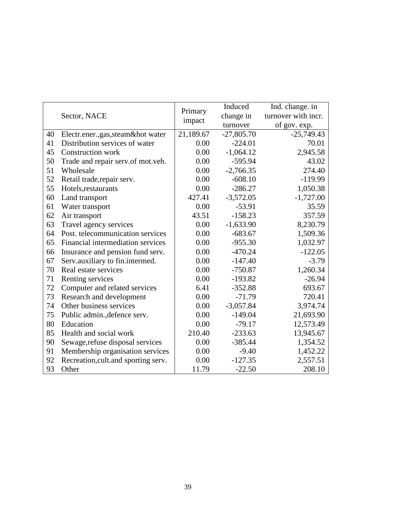|    |                                      | Primary   | Induced      | Ind. change. in     |
|----|--------------------------------------|-----------|--------------|---------------------|
|    | Sector, NACE                         | impact    | change in    | turnover with incr. |
|    |                                      |           | turnover     | of gov. exp.        |
| 40 | Electr.ener.,gas,steam&hot water     | 21,189.67 | $-27,805.70$ | $-25,749.43$        |
| 41 | Distribution services of water       | 0.00      | $-224.01$    | 70.01               |
| 45 | <b>Construction work</b>             | 0.00      | $-1,064.12$  | 2,945.58            |
| 50 | Trade and repair serv.of mot.veh.    | 0.00      | $-595.94$    | 43.02               |
| 51 | Wholesale                            | 0.00      | $-2,766.35$  | 274.40              |
| 52 | Retail trade, repair serv.           | 0.00      | $-608.10$    | $-119.99$           |
| 55 | Hotels, restaurants                  | 0.00      | $-286.27$    | 1,050.38            |
| 60 | Land transport                       | 427.41    | $-3,572.05$  | $-1,727.00$         |
| 61 | Water transport                      | 0.00      | $-53.91$     | 35.59               |
| 62 | Air transport                        | 43.51     | $-158.23$    | 357.59              |
| 63 | Travel agency services               | 0.00      | $-1,633.90$  | 8,230.79            |
| 64 | Post. telecommunication services     | 0.00      | $-683.67$    | 1,509.36            |
| 65 | Financial intermediation services    | 0.00      | $-955.30$    | 1,032.97            |
| 66 | Insurance and pension fund serv.     | 0.00      | $-470.24$    | $-122.05$           |
| 67 | Serv.auxiliary to fin.intermed.      | 0.00      | $-147.40$    | $-3.79$             |
| 70 | Real estate services                 | 0.00      | $-750.87$    | 1,260.34            |
| 71 | Renting services                     | 0.00      | $-193.82$    | $-26.94$            |
| 72 | Computer and related services        | 6.41      | $-352.88$    | 693.67              |
| 73 | Research and development             | 0.00      | $-71.79$     | 720.41              |
| 74 | Other business services              | 0.00      | $-3,057.84$  | 3,974.74            |
| 75 | Public admin., defence serv.         | 0.00      | $-149.04$    | 21,693.90           |
| 80 | Education                            | 0.00      | $-79.17$     | 12,573.49           |
| 85 | Health and social work               | 210.40    | $-233.63$    | 13,945.67           |
| 90 | Sewage, refuse disposal services     | 0.00      | $-385.44$    | 1,354.52            |
| 91 | Membership organisation services     | 0.00      | $-9.40$      | 1,452.22            |
| 92 | Recreation, cult. and sporting serv. | 0.00      | $-127.35$    | 2,557.51            |
| 93 | Other                                | 11.79     | $-22.50$     | 208.10              |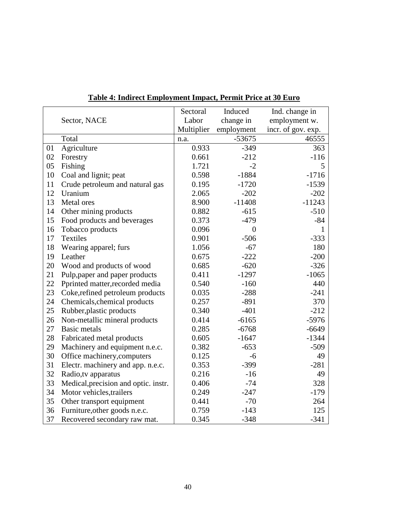|    |                                      | Sectoral   | Induced        | Ind. change in     |
|----|--------------------------------------|------------|----------------|--------------------|
|    | Sector, NACE                         | Labor      | change in      | employment w.      |
|    |                                      | Multiplier | employment     | incr. of gov. exp. |
|    | Total                                | n.a.       | $-53675$       | 46555              |
| 01 | Agriculture                          | 0.933      | $-349$         | 363                |
| 02 | Forestry                             | 0.661      | $-212$         | $-116$             |
| 05 | Fishing                              | 1.721      | $-2$           | 5                  |
| 10 | Coal and lignit; peat                | 0.598      | $-1884$        | $-1716$            |
| 11 | Crude petroleum and natural gas      | 0.195      | $-1720$        | $-1539$            |
| 12 | Uranium                              | 2.065      | $-202$         | $-202$             |
| 13 | Metal ores                           | 8.900      | $-11408$       | $-11243$           |
| 14 | Other mining products                | 0.882      | $-615$         | $-510$             |
| 15 | Food products and beverages          | 0.373      | $-479$         | $-84$              |
| 16 | Tobacco products                     | 0.096      | $\overline{0}$ | 1                  |
| 17 | <b>Textiles</b>                      | 0.901      | $-506$         | $-333$             |
| 18 | Wearing apparel; furs                | 1.056      | $-67$          | 180                |
| 19 | Leather                              | 0.675      | $-222$         | $-200$             |
| 20 | Wood and products of wood            | 0.685      | $-620$         | $-326$             |
| 21 | Pulp, paper and paper products       | 0.411      | $-1297$        | $-1065$            |
| 22 | Pprinted matter, recorded media      | 0.540      | $-160$         | 440                |
| 23 | Coke, refined petroleum products     | 0.035      | $-288$         | $-241$             |
| 24 | Chemicals, chemical products         | 0.257      | $-891$         | 370                |
| 25 | Rubber, plastic products             | 0.340      | $-401$         | $-212$             |
| 26 | Non-metallic mineral products        | 0.414      | $-6165$        | $-5976$            |
| 27 | <b>Basic metals</b>                  | 0.285      | $-6768$        | $-6649$            |
| 28 | Fabricated metal products            | 0.605      | $-1647$        | $-1344$            |
| 29 | Machinery and equipment n.e.c.       | 0.382      | $-653$         | $-509$             |
| 30 | Office machinery, computers          | 0.125      | $-6$           | 49                 |
| 31 | Electr. machinery and app. n.e.c.    | 0.353      | $-399$         | $-281$             |
| 32 | Radio, tv apparatus                  | 0.216      | $-16$          | 49                 |
| 33 | Medical, precision and optic. instr. | 0.406      | $-74$          | 328                |
| 34 | Motor vehicles, trailers             | 0.249      | $-247$         | $-179$             |
| 35 | Other transport equipment            | 0.441      | $-70$          | 264                |
| 36 | Furniture, other goods n.e.c.        | 0.759      | $-143$         | 125                |
| 37 | Recovered secondary raw mat.         | 0.345      | $-348$         | $-341$             |

#### **Table 4: Indirect Employment Impact, Permit Price at 30 Euro**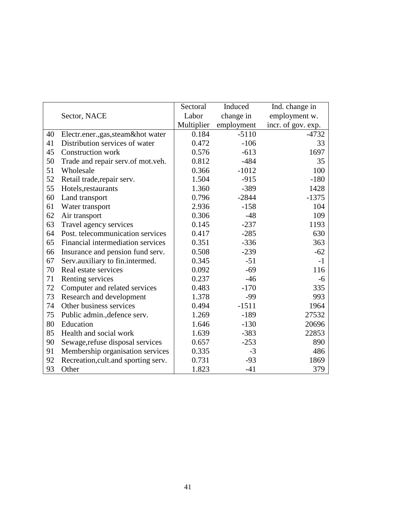|    |                                      | Sectoral   | Induced    | Ind. change in     |
|----|--------------------------------------|------------|------------|--------------------|
|    | Sector, NACE                         | Labor      | change in  | employment w.      |
|    |                                      | Multiplier | employment | incr. of gov. exp. |
| 40 | Electr.ener.,gas,steam&hot water     | 0.184      | $-5110$    | $-4732$            |
| 41 | Distribution services of water       | 0.472      | $-106$     | 33                 |
| 45 | <b>Construction work</b>             | 0.576      | $-613$     | 1697               |
| 50 | Trade and repair serv.of mot.veh.    | 0.812      | $-484$     | 35                 |
| 51 | Wholesale                            | 0.366      | $-1012$    | 100                |
| 52 | Retail trade, repair serv.           | 1.504      | $-915$     | $-180$             |
| 55 | Hotels, restaurants                  | 1.360      | $-389$     | 1428               |
| 60 | Land transport                       | 0.796      | $-2844$    | $-1375$            |
| 61 | Water transport                      | 2.936      | $-158$     | 104                |
| 62 | Air transport                        | 0.306      | $-48$      | 109                |
| 63 | Travel agency services               | 0.145      | $-237$     | 1193               |
| 64 | Post. telecommunication services     | 0.417      | $-285$     | 630                |
| 65 | Financial intermediation services    | 0.351      | $-336$     | 363                |
| 66 | Insurance and pension fund serv.     | 0.508      | $-239$     | $-62$              |
| 67 | Serv.auxiliary to fin.intermed.      | 0.345      | $-51$      | $-1$               |
| 70 | Real estate services                 | 0.092      | $-69$      | 116                |
| 71 | Renting services                     | 0.237      | $-46$      | -6                 |
| 72 | Computer and related services        | 0.483      | $-170$     | 335                |
| 73 | Research and development             | 1.378      | $-99$      | 993                |
| 74 | Other business services              | 0.494      | $-1511$    | 1964               |
| 75 | Public admin., defence serv.         | 1.269      | $-189$     | 27532              |
| 80 | Education                            | 1.646      | $-130$     | 20696              |
| 85 | Health and social work               | 1.639      | $-383$     | 22853              |
| 90 | Sewage, refuse disposal services     | 0.657      | $-253$     | 890                |
| 91 | Membership organisation services     | 0.335      | $-3$       | 486                |
| 92 | Recreation, cult. and sporting serv. | 0.731      | $-93$      | 1869               |
| 93 | Other                                | 1.823      | $-41$      | 379                |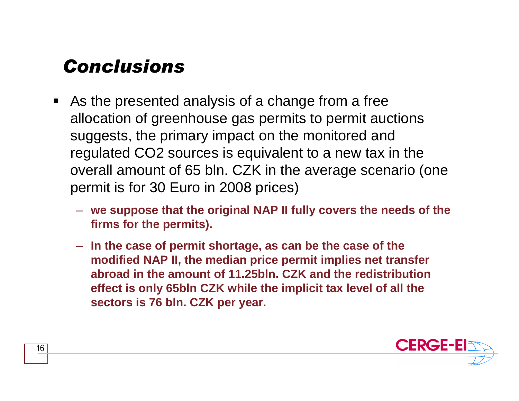## Conclusions

- $\blacksquare$  As the presented analysis of a change from a free allocation of greenhouse gas permits to permit auctions suggests, the primary impact on the monitored and regulated CO2 sources is equivalent to a new tax in the overall amount of 65 bln. CZK in the average scenario (one permit is for 30 Euro in 2008 prices)
	- **we suppose that the original NAP II fully covers the needs of the firms for the permits).**
	- **In the case of permit shortage, as can be the case of the modified NAP II, the median price permit implies net transfer abroad in the amount of 11.25bln. CZK and the redistribution effect is only 65bln CZK while the implicit tax level of all thesectors is 76 bln. CZK per year.**